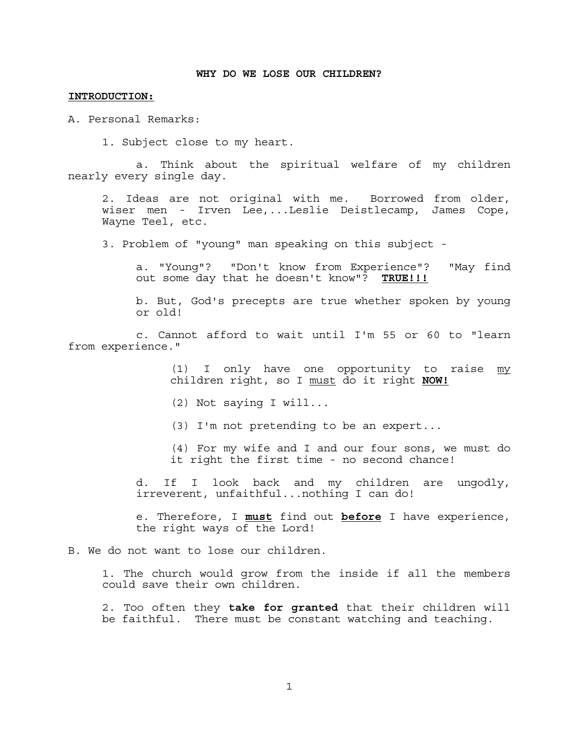# **INTRODUCTION:**

A. Personal Remarks:

1. Subject close to my heart.

 a. Think about the spiritual welfare of my children nearly every single day.

 2. Ideas are not original with me. Borrowed from older, wiser men - Irven Lee,...Leslie Deistlecamp, James Cope, Wayne Teel, etc.

3. Problem of "young" man speaking on this subject -

 a. "Young"? "Don't know from Experience"? "May find out some day that he doesn't know"? **TRUE!!!**

 b. But, God's precepts are true whether spoken by young or old!

 c. Cannot afford to wait until I'm 55 or 60 to "learn from experience."

> (1) I only have one opportunity to raise my children right, so I must do it right **NOW!**

(2) Not saying I will...

(3) I'm not pretending to be an expert...

 (4) For my wife and I and our four sons, we must do it right the first time - no second chance!

 d. If I look back and my children are ungodly, irreverent, unfaithful...nothing I can do!

 e. Therefore, I **must** find out **before** I have experience, the right ways of the Lord!

B. We do not want to lose our children.

 1. The church would grow from the inside if all the members could save their own children.

 2. Too often they **take for granted** that their children will be faithful. There must be constant watching and teaching.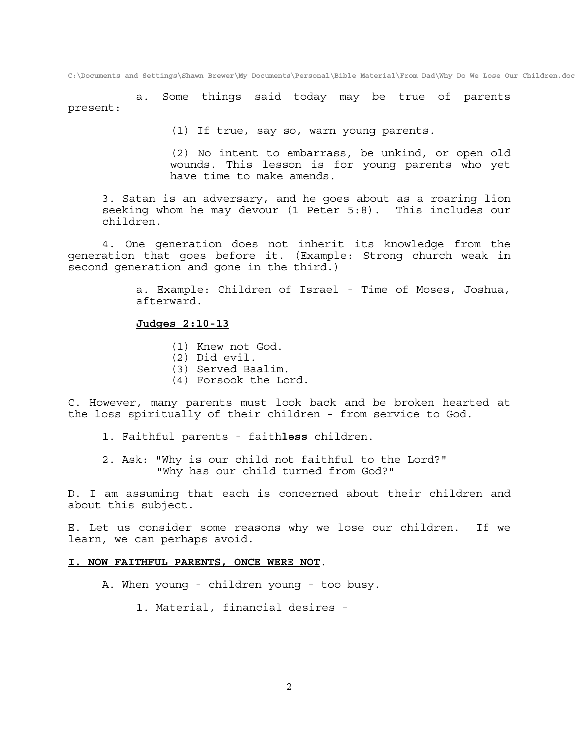a. Some things said today may be true of parents present:

(1) If true, say so, warn young parents.

 (2) No intent to embarrass, be unkind, or open old wounds. This lesson is for young parents who yet have time to make amends.

 3. Satan is an adversary, and he goes about as a roaring lion seeking whom he may devour (1 Peter 5:8). This includes our children.

 4. One generation does not inherit its knowledge from the generation that goes before it. (Example: Strong church weak in second generation and gone in the third.)

> a. Example: Children of Israel - Time of Moses, Joshua, afterward.

# **Judges 2:10-13**

- (1) Knew not God.
- (2) Did evil.
- (3) Served Baalim.
- (4) Forsook the Lord.

C. However, many parents must look back and be broken hearted at the loss spiritually of their children - from service to God.

- 1. Faithful parents faith**less** children.
- 2. Ask: "Why is our child not faithful to the Lord?" "Why has our child turned from God?"

D. I am assuming that each is concerned about their children and about this subject.

E. Let us consider some reasons why we lose our children. If we learn, we can perhaps avoid.

# **I. NOW FAITHFUL PARENTS, ONCE WERE NOT**.

- A. When young children young too busy.
	- 1. Material, financial desires -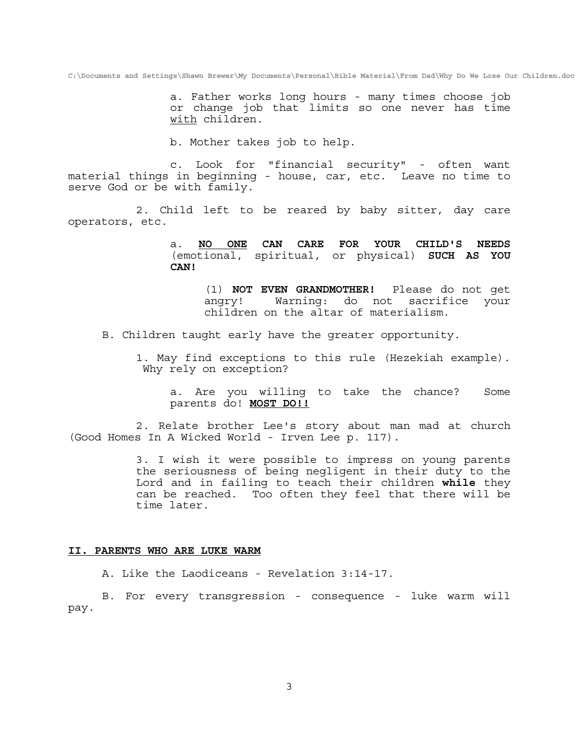a. Father works long hours - many times choose job or change job that limits so one never has time with children.

b. Mother takes job to help.

 c. Look for "financial security" - often want material things in beginning - house, car, etc. Leave no time to serve God or be with family.

 2. Child left to be reared by baby sitter, day care operators, etc.

> a. **NO ONE CAN CARE FOR YOUR CHILD'S NEEDS** (emotional, spiritual, or physical) **SUCH AS YOU CAN!**

 (1) **NOT EVEN GRANDMOTHER!** Please do not get angry! Warning: do not sacrifice your children on the altar of materialism.

B. Children taught early have the greater opportunity.

 1. May find exceptions to this rule (Hezekiah example). Why rely on exception?

 a. Are you willing to take the chance? Some parents do! **MOST DO!!**

 2. Relate brother Lee's story about man mad at church (Good Homes In A Wicked World - Irven Lee p. 117).

> 3. I wish it were possible to impress on young parents the seriousness of being negligent in their duty to the Lord and in failing to teach their children **while** they can be reached. Too often they feel that there will be time later.

# **II. PARENTS WHO ARE LUKE WARM**

A. Like the Laodiceans - Revelation 3:14-17.

 B. For every transgression - consequence - luke warm will pay.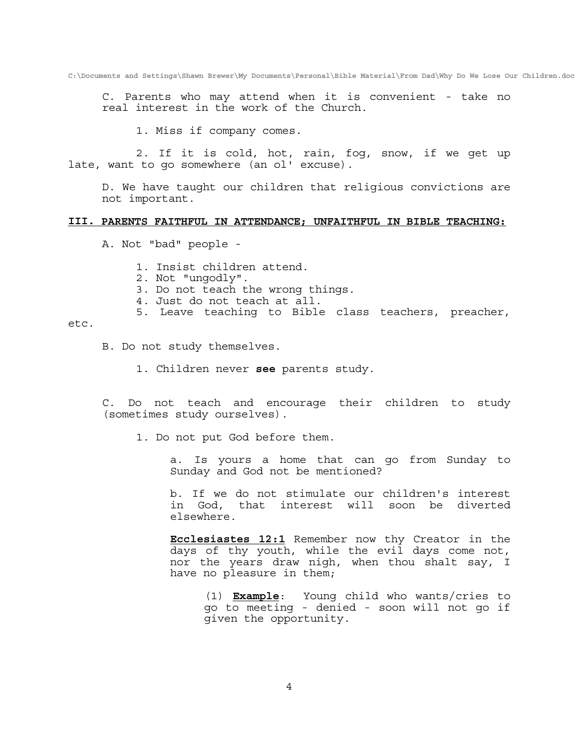C. Parents who may attend when it is convenient - take no real interest in the work of the Church.

1. Miss if company comes.

 2. If it is cold, hot, rain, fog, snow, if we get up late, want to go somewhere (an ol' excuse).

 D. We have taught our children that religious convictions are not important.

# **III. PARENTS FAITHFUL IN ATTENDANCE; UNFAITHFUL IN BIBLE TEACHING:**

A. Not "bad" people -

1. Insist children attend.

2. Not "ungodly".

3. Do not teach the wrong things.

4. Just do not teach at all.

5. Leave teaching to Bible class teachers, preacher,

#### etc.

B. Do not study themselves.

1. Children never **see** parents study.

 C. Do not teach and encourage their children to study (sometimes study ourselves).

1. Do not put God before them.

 a. Is yours a home that can go from Sunday to Sunday and God not be mentioned?

 b. If we do not stimulate our children's interest in God, that interest will soon be diverted elsewhere.

 **Ecclesiastes 12:1** Remember now thy Creator in the days of thy youth, while the evil days come not, nor the years draw nigh, when thou shalt say, I have no pleasure in them;

 (1) **Example**: Young child who wants/cries to go to meeting - denied - soon will not go if given the opportunity.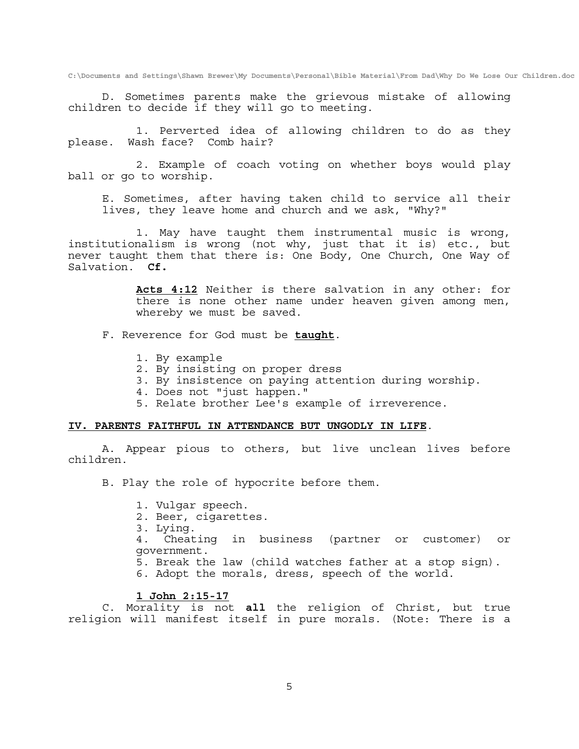D. Sometimes parents make the grievous mistake of allowing children to decide if they will go to meeting.

 1. Perverted idea of allowing children to do as they please. Wash face? Comb hair?

 2. Example of coach voting on whether boys would play ball or go to worship.

 E. Sometimes, after having taken child to service all their lives, they leave home and church and we ask, "Why?"

 1. May have taught them instrumental music is wrong, institutionalism is wrong (not why, just that it is) etc., but never taught them that there is: One Body, One Church, One Way of Salvation. **Cf.**

> **Acts 4:12** Neither is there salvation in any other: for there is none other name under heaven given among men, whereby we must be saved.

F. Reverence for God must be **taught**.

- 1. By example
- 2. By insisting on proper dress
- 3. By insistence on paying attention during worship.
- 4. Does not "just happen."
- 5. Relate brother Lee's example of irreverence.

# **IV. PARENTS FAITHFUL IN ATTENDANCE BUT UNGODLY IN LIFE**.

 A. Appear pious to others, but live unclean lives before children.

B. Play the role of hypocrite before them.

- 1. Vulgar speech.
- 2. Beer, cigarettes.
- 3. Lying.

 4. Cheating in business (partner or customer) or government.

- 5. Break the law (child watches father at a stop sign).
- 6. Adopt the morals, dress, speech of the world.

# **1 John 2:15-17**

 C. Morality is not **all** the religion of Christ, but true religion will manifest itself in pure morals. (Note: There is a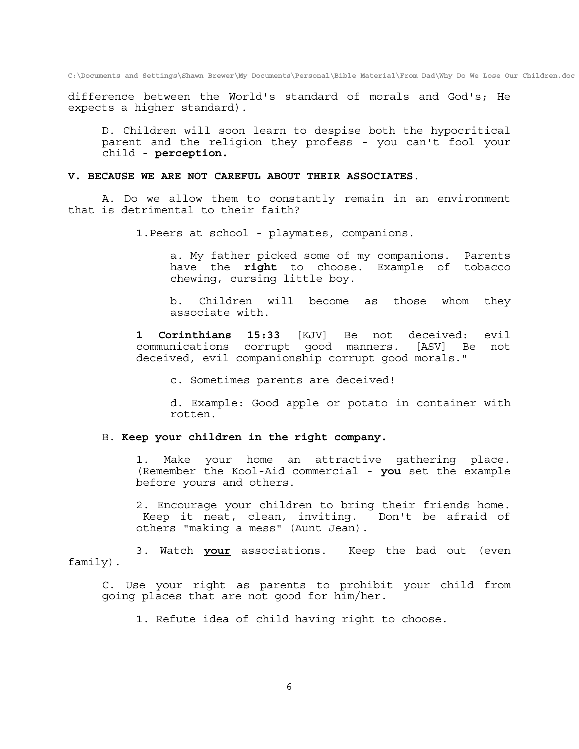difference between the World's standard of morals and God's; He expects a higher standard).

 D. Children will soon learn to despise both the hypocritical parent and the religion they profess - you can't fool your child - **perception.** 

### **V. BECAUSE WE ARE NOT CAREFUL ABOUT THEIR ASSOCIATES**.

 A. Do we allow them to constantly remain in an environment that is detrimental to their faith?

1.Peers at school - playmates, companions.

 a. My father picked some of my companions. Parents have the **right** to choose. Example of tobacco chewing, cursing little boy.

 b. Children will become as those whom they associate with.

 **1 Corinthians 15:33** [KJV] Be not deceived: evil communications corrupt good manners. [ASV] Be not deceived, evil companionship corrupt good morals."

c. Sometimes parents are deceived!

 d. Example: Good apple or potato in container with rotten.

# B. **Keep your children in the right company.**

 1. Make your home an attractive gathering place. (Remember the Kool-Aid commercial - **you** set the example before yours and others.

 2. Encourage your children to bring their friends home. Keep it neat, clean, inviting. Don't be afraid of others "making a mess" (Aunt Jean).

 3. Watch **your** associations. Keep the bad out (even family).

 C. Use your right as parents to prohibit your child from going places that are not good for him/her.

1. Refute idea of child having right to choose.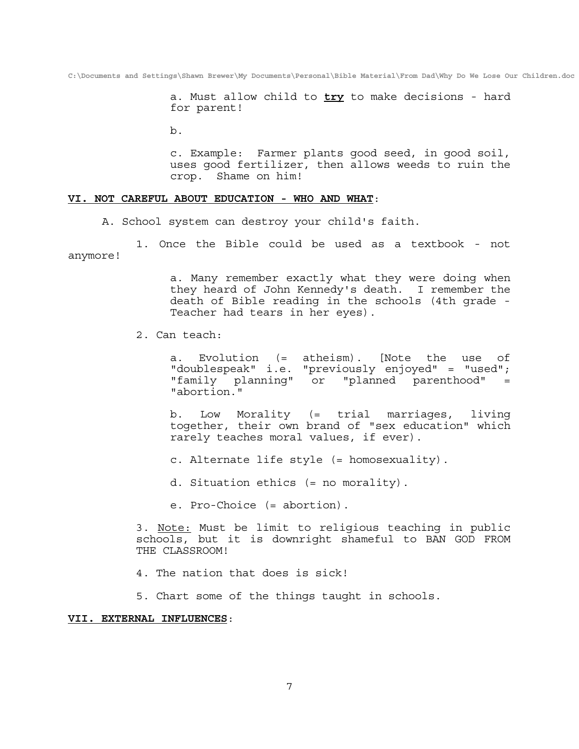a. Must allow child to **try** to make decisions - hard for parent!

b.

 c. Example: Farmer plants good seed, in good soil, uses good fertilizer, then allows weeds to ruin the crop. Shame on him!

### **VI. NOT CAREFUL ABOUT EDUCATION - WHO AND WHAT**:

A. School system can destroy your child's faith.

 1. Once the Bible could be used as a textbook - not anymore!

> a. Many remember exactly what they were doing when they heard of John Kennedy's death. I remember the death of Bible reading in the schools (4th grade - Teacher had tears in her eyes).

2. Can teach:

 a. Evolution (= atheism). [Note the use of "doublespeak" i.e. "previously enjoyed" = "used"; "family planning" or "planned parenthood" = "abortion."

 b. Low Morality (= trial marriages, living together, their own brand of "sex education" which rarely teaches moral values, if ever).

c. Alternate life style (= homosexuality).

d. Situation ethics (= no morality).

e. Pro-Choice (= abortion).

 3. Note: Must be limit to religious teaching in public schools, but it is downright shameful to BAN GOD FROM THE CLASSROOM!

- 4. The nation that does is sick!
- 5. Chart some of the things taught in schools.

### **VII. EXTERNAL INFLUENCES**: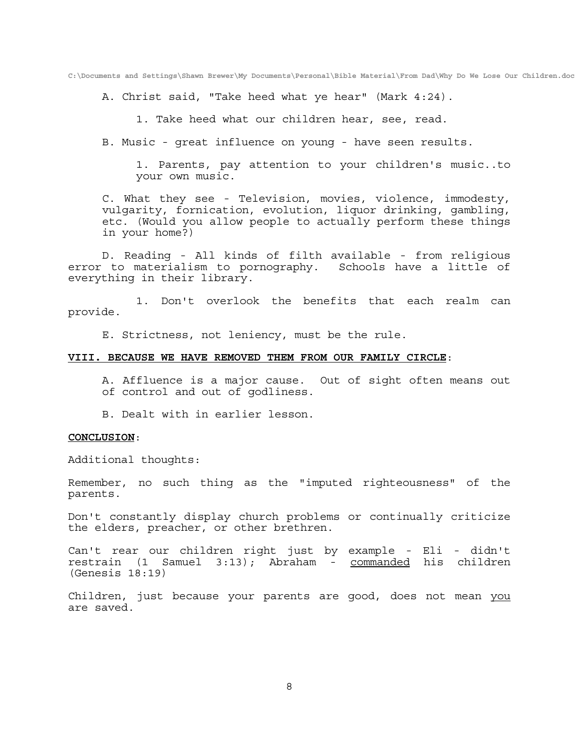A. Christ said, "Take heed what ye hear" (Mark 4:24).

1. Take heed what our children hear, see, read.

B. Music - great influence on young - have seen results.

 1. Parents, pay attention to your children's music..to your own music.

 C. What they see - Television, movies, violence, immodesty, vulgarity, fornication, evolution, liquor drinking, gambling, etc. (Would you allow people to actually perform these things in your home?)

 D. Reading - All kinds of filth available - from religious error to materialism to pornography. Schools have a little of everything in their library.

 1. Don't overlook the benefits that each realm can provide.

E. Strictness, not leniency, must be the rule.

### **VIII. BECAUSE WE HAVE REMOVED THEM FROM OUR FAMILY CIRCLE**:

 A. Affluence is a major cause. Out of sight often means out of control and out of godliness.

B. Dealt with in earlier lesson.

### **CONCLUSION**:

Additional thoughts:

Remember, no such thing as the "imputed righteousness" of the parents.

Don't constantly display church problems or continually criticize the elders, preacher, or other brethren.

Can't rear our children right just by example - Eli - didn't restrain (1 Samuel 3:13); Abraham - commanded his children (Genesis 18:19)

Children, just because your parents are good, does not mean you are saved.